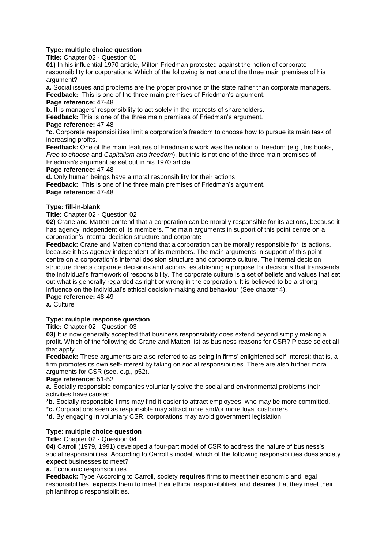# **Type: multiple choice question**

**Title:** Chapter 02 - Question 01

**01)** In his influential 1970 article, Milton Friedman protested against the notion of corporate responsibility for corporations. Which of the following is **not** one of the three main premises of his argument?

**a.** Social issues and problems are the proper province of the state rather than corporate managers. **Feedback:** This is one of the three main premises of Friedman's argument. **Page reference:** 47-48

**b.** It is managers' responsibility to act solely in the interests of shareholders.

**Feedback:** This is one of the three main premises of Friedman's argument.

#### **Page reference:** 47-48

\***c.** Corporate responsibilities limit a corporation's freedom to choose how to pursue its main task of increasing profits.

**Feedback:** One of the main features of Friedman's work was the notion of freedom (e.g., his books, *Free to choose* and *Capitalism and freedom*), but this is not one of the three main premises of Friedman's argument as set out in his 1970 article.

#### **Page reference:** 47-48

**d.** Only human beings have a moral responsibility for their actions.

**Feedback:** This is one of the three main premises of Friedman's argument. **Page reference:** 47-48

# **Type: fill-in-blank**

**Title:** Chapter 02 - Question 02

**02)** Crane and Matten contend that a corporation can be morally responsible for its actions, because it has agency independent of its members. The main arguments in support of this point centre on a corporation's internal decision structure and corporate \_\_\_\_\_\_\_\_\_\_.

**Feedback:** Crane and Matten contend that a corporation can be morally responsible for its actions, because it has agency independent of its members. The main arguments in support of this point centre on a corporation's internal decision structure and corporate culture. The internal decision structure directs corporate decisions and actions, establishing a purpose for decisions that transcends the individual's framework of responsibility. The corporate culture is a set of beliefs and values that set out what is generally regarded as right or wrong in the corporation. It is believed to be a strong influence on the individual's ethical decision-making and behaviour (See chapter 4). **Page reference:** 48-49

**a.** Culture

## **Type: multiple response question**

**Title:** Chapter 02 - Question 03

**03)** It is now generally accepted that business responsibility does extend beyond simply making a profit. Which of the following do Crane and Matten list as business reasons for CSR? Please select all that apply.

**Feedback:** These arguments are also referred to as being in firms' enlightened self-interest; that is, a firm promotes its own self-interest by taking on social responsibilities. There are also further moral arguments for CSR (see, e.g., p52).

## **Page reference:** 51-52

**a.** Socially responsible companies voluntarily solve the social and environmental problems their activities have caused.

\***b.** Socially responsible firms may find it easier to attract employees, who may be more committed.

\***c.** Corporations seen as responsible may attract more and/or more loyal customers.

\***d.** By engaging in voluntary CSR, corporations may avoid government legislation.

# **Type: multiple choice question**

**Title:** Chapter 02 - Question 04

**04)** Carroll (1979, 1991) developed a four-part model of CSR to address the nature of business's social responsibilities. According to Carroll's model, which of the following responsibilities does society **expect** businesses to meet?

**a.** Economic responsibilities

**Feedback:** Type According to Carroll, society **requires** firms to meet their economic and legal responsibilities, **expects** them to meet their ethical responsibilities, and **desires** that they meet their philanthropic responsibilities.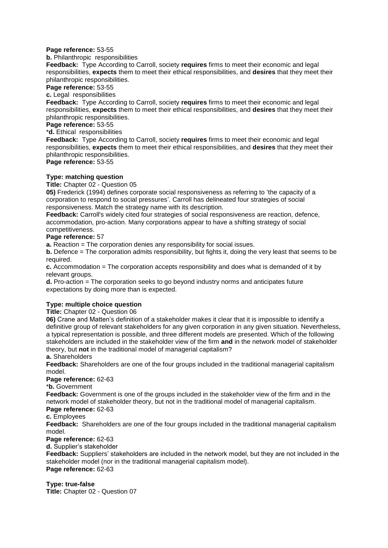#### **Page reference:** 53-55

**b.** Philanthropic responsibilities

**Feedback:** Type According to Carroll, society **requires** firms to meet their economic and legal responsibilities, **expects** them to meet their ethical responsibilities, and **desires** that they meet their philanthropic responsibilities.

**Page reference:** 53-55

**c.** Legal responsibilities

**Feedback:** Type According to Carroll, society **requires** firms to meet their economic and legal responsibilities, **expects** them to meet their ethical responsibilities, and **desires** that they meet their philanthropic responsibilities.

# **Page reference:** 53-55

\***d.** Ethical responsibilities

**Feedback:** Type According to Carroll, society **requires** firms to meet their economic and legal responsibilities, **expects** them to meet their ethical responsibilities, and **desires** that they meet their philanthropic responsibilities.

**Page reference:** 53-55

## **Type: matching question**

**Title:** Chapter 02 - Question 05

**05)** Frederick (1994) defines corporate social responsiveness as referring to 'the capacity of a corporation to respond to social pressures'. Carroll has delineated four strategies of social responsiveness. Match the strategy name with its description.

**Feedback:** Carroll's widely cited four strategies of social responsiveness are reaction, defence, accommodation, pro-action. Many corporations appear to have a shifting strategy of social competitiveness.

# **Page reference:** 57

**a.** Reaction = The corporation denies any responsibility for social issues.

**b.** Defence = The corporation admits responsibility, but fights it, doing the very least that seems to be required.

**c.** Accommodation = The corporation accepts responsibility and does what is demanded of it by relevant groups.

**d.** Pro-action = The corporation seeks to go beyond industry norms and anticipates future expectations by doing more than is expected.

## **Type: multiple choice question**

**Title:** Chapter 02 - Question 06

**06)** Crane and Matten's definition of a stakeholder makes it clear that it is impossible to identify a definitive group of relevant stakeholders for any given corporation in any given situation. Nevertheless, a typical representation is possible, and three different models are presented. Which of the following stakeholders are included in the stakeholder view of the firm **and** in the network model of stakeholder theory, but **not** in the traditional model of managerial capitalism?

### **a.** Shareholders

**Feedback:** Shareholders are one of the four groups included in the traditional managerial capitalism model.

**Page reference:** 62-63

\***b.** Government

**Feedback:** Government is one of the groups included in the stakeholder view of the firm and in the network model of stakeholder theory, but not in the traditional model of managerial capitalism. **Page reference:** 62-63

**c.** Employees

**Feedback:** Shareholders are one of the four groups included in the traditional managerial capitalism model.

**Page reference:** 62-63

**d.** Supplier's stakeholder

**Feedback:** Suppliers' stakeholders are included in the network model, but they are not included in the stakeholder model (nor in the traditional managerial capitalism model). **Page reference:** 62-63

## **Type: true-false**

**Title:** Chapter 02 - Question 07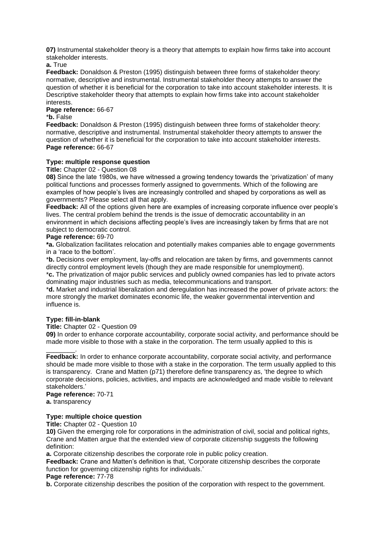**07)** Instrumental stakeholder theory is a theory that attempts to explain how firms take into account stakeholder interests.

**a.** True

**Feedback:** Donaldson & Preston (1995) distinguish between three forms of stakeholder theory: normative, descriptive and instrumental. Instrumental stakeholder theory attempts to answer the question of whether it is beneficial for the corporation to take into account stakeholder interests. It is Descriptive stakeholder theory that attempts to explain how firms take into account stakeholder interests.

**Page reference:** 66-67

\***b.** False

**Feedback:** Donaldson & Preston (1995) distinguish between three forms of stakeholder theory: normative, descriptive and instrumental. Instrumental stakeholder theory attempts to answer the question of whether it is beneficial for the corporation to take into account stakeholder interests. **Page reference:** 66-67

## **Type: multiple response question**

**Title:** Chapter 02 - Question 08

**08)** Since the late 1980s, we have witnessed a growing tendency towards the 'privatization' of many political functions and processes formerly assigned to governments. Which of the following are examples of how people's lives are increasingly controlled and shaped by corporations as well as governments? Please select all that apply.

**Feedback:** All of the options given here are examples of increasing corporate influence over people's lives. The central problem behind the trends is the issue of democratic accountability in an environment in which decisions affecting people's lives are increasingly taken by firms that are not subject to democratic control.

#### **Page reference:** 69-70

**\*a.** Globalization facilitates relocation and potentially makes companies able to engage governments in a 'race to the bottom'.

\***b.** Decisions over employment, lay-offs and relocation are taken by firms, and governments cannot directly control employment levels (though they are made responsible for unemployment).

\***c.** The privatization of major public services and publicly owned companies has led to private actors dominating major industries such as media, telecommunications and transport.

\***d.** Market and industrial liberalization and deregulation has increased the power of private actors: the more strongly the market dominates economic life, the weaker governmental intervention and influence is.

## **Type: fill-in-blank**

**Title:** Chapter 02 - Question 09

**09)** In order to enhance corporate accountability, corporate social activity, and performance should be made more visible to those with a stake in the corporation. The term usually applied to this is

Feedback: In order to enhance corporate accountability, corporate social activity, and performance should be made more visible to those with a stake in the corporation. The term usually applied to this is transparency. Crane and Matten (p71) therefore define transparency as, 'the degree to which corporate decisions, policies, activities, and impacts are acknowledged and made visible to relevant stakeholders.'

**Page reference:** 70-71

**a.** transparency

\_\_\_\_\_\_\_\_.

# **Type: multiple choice question**

**Title:** Chapter 02 - Question 10

**10)** Given the emerging role for corporations in the administration of civil, social and political rights, Crane and Matten argue that the extended view of corporate citizenship suggests the following definition:

**a.** Corporate citizenship describes the corporate role in public policy creation.

**Feedback:** Crane and Matten's definition is that, 'Corporate citizenship describes the corporate function for governing citizenship rights for individuals.'

**Page reference:** 77-78

**b.** Corporate citizenship describes the position of the corporation with respect to the government.